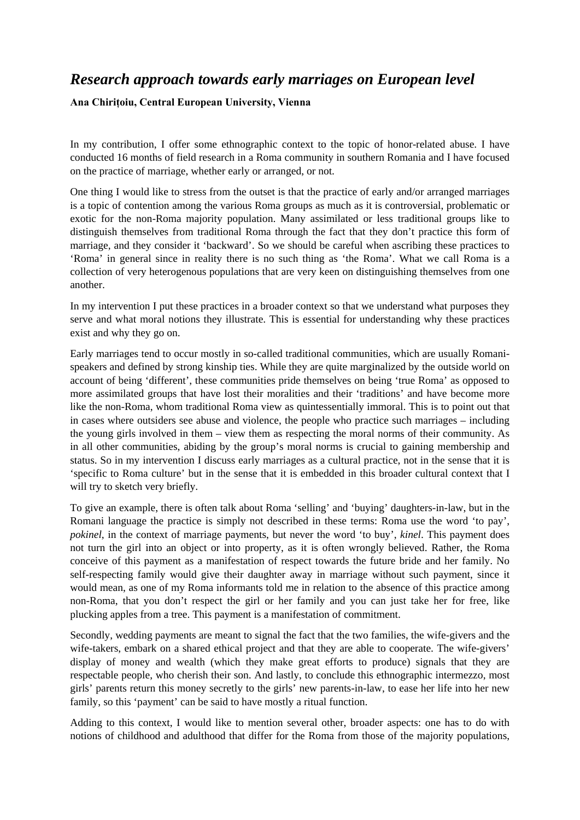## *Research approach towards early marriages on European level*

**Ana Chirițoiu, Central European University, Vienna** 

In my contribution, I offer some ethnographic context to the topic of honor-related abuse. I have conducted 16 months of field research in a Roma community in southern Romania and I have focused on the practice of marriage, whether early or arranged, or not.

One thing I would like to stress from the outset is that the practice of early and/or arranged marriages is a topic of contention among the various Roma groups as much as it is controversial, problematic or exotic for the non-Roma majority population. Many assimilated or less traditional groups like to distinguish themselves from traditional Roma through the fact that they don't practice this form of marriage, and they consider it 'backward'. So we should be careful when ascribing these practices to 'Roma' in general since in reality there is no such thing as 'the Roma'. What we call Roma is a collection of very heterogenous populations that are very keen on distinguishing themselves from one another.

In my intervention I put these practices in a broader context so that we understand what purposes they serve and what moral notions they illustrate. This is essential for understanding why these practices exist and why they go on.

Early marriages tend to occur mostly in so-called traditional communities, which are usually Romanispeakers and defined by strong kinship ties. While they are quite marginalized by the outside world on account of being 'different', these communities pride themselves on being 'true Roma' as opposed to more assimilated groups that have lost their moralities and their 'traditions' and have become more like the non-Roma, whom traditional Roma view as quintessentially immoral. This is to point out that in cases where outsiders see abuse and violence, the people who practice such marriages – including the young girls involved in them – view them as respecting the moral norms of their community. As in all other communities, abiding by the group's moral norms is crucial to gaining membership and status. So in my intervention I discuss early marriages as a cultural practice, not in the sense that it is 'specific to Roma culture' but in the sense that it is embedded in this broader cultural context that I will try to sketch very briefly.

To give an example, there is often talk about Roma 'selling' and 'buying' daughters-in-law, but in the Romani language the practice is simply not described in these terms: Roma use the word 'to pay', *pokinel*, in the context of marriage payments, but never the word 'to buy', *kinel*. This payment does not turn the girl into an object or into property, as it is often wrongly believed. Rather, the Roma conceive of this payment as a manifestation of respect towards the future bride and her family. No self-respecting family would give their daughter away in marriage without such payment, since it would mean, as one of my Roma informants told me in relation to the absence of this practice among non-Roma, that you don't respect the girl or her family and you can just take her for free, like plucking apples from a tree. This payment is a manifestation of commitment.

Secondly, wedding payments are meant to signal the fact that the two families, the wife-givers and the wife-takers, embark on a shared ethical project and that they are able to cooperate. The wife-givers' display of money and wealth (which they make great efforts to produce) signals that they are respectable people, who cherish their son. And lastly, to conclude this ethnographic intermezzo, most girls' parents return this money secretly to the girls' new parents-in-law, to ease her life into her new family, so this 'payment' can be said to have mostly a ritual function.

Adding to this context, I would like to mention several other, broader aspects: one has to do with notions of childhood and adulthood that differ for the Roma from those of the majority populations,